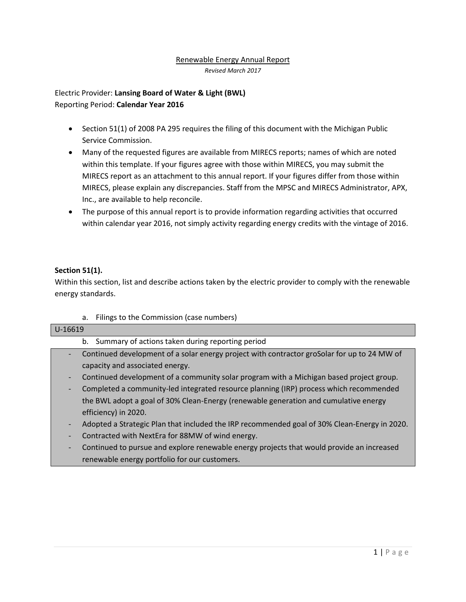#### Renewable Energy Annual Report *Revised March 2017*

## Electric Provider: **Lansing Board of Water & Light (BWL)** Reporting Period: **Calendar Year 2016**

- Section 51(1) of 2008 PA 295 requires the filing of this document with the Michigan Public Service Commission.
- Many of the requested figures are available from MIRECS reports; names of which are noted within this template. If your figures agree with those within MIRECS, you may submit the MIRECS report as an attachment to this annual report. If your figures differ from those within MIRECS, please explain any discrepancies. Staff from the MPSC and MIRECS Administrator, APX, Inc., are available to help reconcile.
- The purpose of this annual report is to provide information regarding activities that occurred within calendar year 2016, not simply activity regarding energy credits with the vintage of 2016.

#### **Section 51(1).**

Within this section, list and describe actions taken by the electric provider to comply with the renewable energy standards.

- U-16619 b. Summary of actions taken during reporting period Continued development of a solar energy project with contractor groSolar for up to 24 MW of capacity and associated energy. - Continued development of a community solar program with a Michigan based project group. Completed a community-led integrated resource planning (IRP) process which recommended the BWL adopt a goal of 30% Clean-Energy (renewable generation and cumulative energy efficiency) in 2020. - Adopted a Strategic Plan that included the IRP recommended goal of 30% Clean-Energy in 2020. Contracted with NextEra for 88MW of wind energy. Continued to pursue and explore renewable energy projects that would provide an increased renewable energy portfolio for our customers.
- a. Filings to the Commission (case numbers)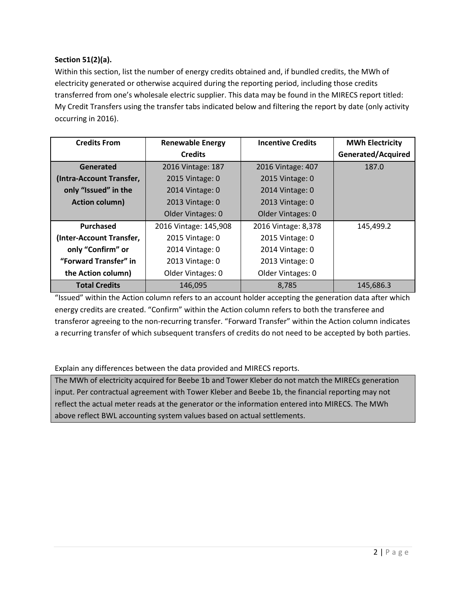### **Section 51(2)(a).**

Within this section, list the number of energy credits obtained and, if bundled credits, the MWh of electricity generated or otherwise acquired during the reporting period, including those credits transferred from one's wholesale electric supplier. This data may be found in the MIRECS report titled: My Credit Transfers using the transfer tabs indicated below and filtering the report by date (only activity occurring in 2016).

| <b>Credits From</b>      | <b>Renewable Energy</b> | <b>Incentive Credits</b> | <b>MWh Electricity</b>    |
|--------------------------|-------------------------|--------------------------|---------------------------|
|                          | <b>Credits</b>          |                          | <b>Generated/Acquired</b> |
| Generated                | 2016 Vintage: 187       | 2016 Vintage: 407        | 187.0                     |
| (Intra-Account Transfer, | 2015 Vintage: 0         | 2015 Vintage: 0          |                           |
| only "Issued" in the     | 2014 Vintage: 0         | 2014 Vintage: 0          |                           |
| <b>Action column)</b>    | 2013 Vintage: 0         | 2013 Vintage: 0          |                           |
|                          | Older Vintages: 0       | Older Vintages: 0        |                           |
| <b>Purchased</b>         | 2016 Vintage: 145,908   | 2016 Vintage: 8,378      | 145,499.2                 |
| (Inter-Account Transfer, | 2015 Vintage: 0         | 2015 Vintage: 0          |                           |
| only "Confirm" or        | 2014 Vintage: 0         | 2014 Vintage: 0          |                           |
| "Forward Transfer" in    | 2013 Vintage: 0         | 2013 Vintage: 0          |                           |
| the Action column)       | Older Vintages: 0       | Older Vintages: 0        |                           |
| <b>Total Credits</b>     | 146,095                 | 8,785                    | 145,686.3                 |

"Issued" within the Action column refers to an account holder accepting the generation data after which energy credits are created. "Confirm" within the Action column refers to both the transferee and transferor agreeing to the non-recurring transfer. "Forward Transfer" within the Action column indicates a recurring transfer of which subsequent transfers of credits do not need to be accepted by both parties.

Explain any differences between the data provided and MIRECS reports.

The MWh of electricity acquired for Beebe 1b and Tower Kleber do not match the MIRECs generation input. Per contractual agreement with Tower Kleber and Beebe 1b, the financial reporting may not reflect the actual meter reads at the generator or the information entered into MIRECS. The MWh above reflect BWL accounting system values based on actual settlements.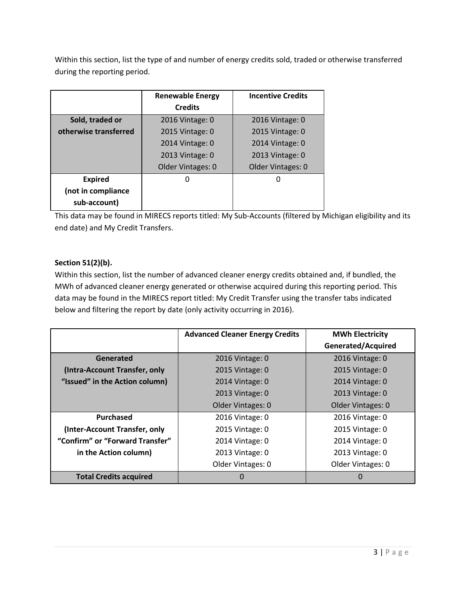Within this section, list the type of and number of energy credits sold, traded or otherwise transferred during the reporting period.

|                                    | <b>Renewable Energy</b> | <b>Incentive Credits</b> |
|------------------------------------|-------------------------|--------------------------|
|                                    | <b>Credits</b>          |                          |
| Sold, traded or                    | 2016 Vintage: 0         | 2016 Vintage: 0          |
| otherwise transferred              | 2015 Vintage: 0         | 2015 Vintage: 0          |
|                                    | 2014 Vintage: 0         | 2014 Vintage: 0          |
|                                    | 2013 Vintage: 0         | 2013 Vintage: 0          |
|                                    | Older Vintages: 0       | Older Vintages: 0        |
| <b>Expired</b>                     | ŋ                       | ŋ                        |
| (not in compliance<br>sub-account) |                         |                          |

This data may be found in MIRECS reports titled: My Sub-Accounts (filtered by Michigan eligibility and its end date) and My Credit Transfers.

## **Section 51(2)(b).**

Within this section, list the number of advanced cleaner energy credits obtained and, if bundled, the MWh of advanced cleaner energy generated or otherwise acquired during this reporting period. This data may be found in the MIRECS report titled: My Credit Transfer using the transfer tabs indicated below and filtering the report by date (only activity occurring in 2016).

|                                 | <b>Advanced Cleaner Energy Credits</b> | <b>MWh Electricity</b> |
|---------------------------------|----------------------------------------|------------------------|
|                                 |                                        | Generated/Acquired     |
| Generated                       | 2016 Vintage: 0                        | 2016 Vintage: 0        |
| (Intra-Account Transfer, only   | 2015 Vintage: 0                        | 2015 Vintage: 0        |
| "Issued" in the Action column)  | 2014 Vintage: 0                        | 2014 Vintage: 0        |
|                                 | 2013 Vintage: 0                        | 2013 Vintage: 0        |
|                                 | Older Vintages: 0                      | Older Vintages: 0      |
| <b>Purchased</b>                | 2016 Vintage: 0                        | 2016 Vintage: 0        |
| (Inter-Account Transfer, only   | 2015 Vintage: 0                        | 2015 Vintage: 0        |
| "Confirm" or "Forward Transfer" | 2014 Vintage: 0                        | 2014 Vintage: 0        |
| in the Action column)           | 2013 Vintage: 0                        | 2013 Vintage: 0        |
|                                 | Older Vintages: 0                      | Older Vintages: 0      |
| <b>Total Credits acquired</b>   | 0                                      | 0                      |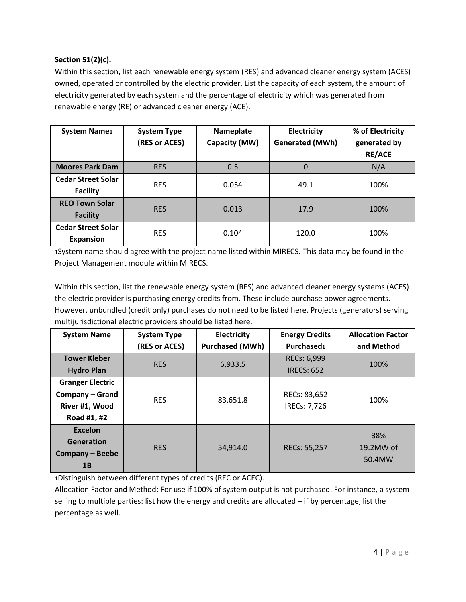## **Section 51(2)(c).**

Within this section, list each renewable energy system (RES) and advanced cleaner energy system (ACES) owned, operated or controlled by the electric provider. List the capacity of each system, the amount of electricity generated by each system and the percentage of electricity which was generated from renewable energy (RE) or advanced cleaner energy (ACE).

| <b>System Name1</b>                           | <b>System Type</b><br>(RES or ACES) | Nameplate<br>Capacity (MW) | Electricity<br><b>Generated (MWh)</b> | % of Electricity<br>generated by<br><b>RE/ACE</b> |
|-----------------------------------------------|-------------------------------------|----------------------------|---------------------------------------|---------------------------------------------------|
| <b>Moores Park Dam</b>                        | <b>RES</b>                          | 0.5                        | 0                                     | N/A                                               |
| <b>Cedar Street Solar</b><br><b>Facility</b>  | <b>RES</b>                          | 0.054                      | 49.1                                  | 100%                                              |
| <b>REO Town Solar</b><br><b>Facility</b>      | <b>RES</b>                          | 0.013                      | 17.9                                  | 100%                                              |
| <b>Cedar Street Solar</b><br><b>Expansion</b> | <b>RES</b>                          | 0.104                      | 120.0                                 | 100%                                              |

1System name should agree with the project name listed within MIRECS. This data may be found in the Project Management module within MIRECS.

Within this section, list the renewable energy system (RES) and advanced cleaner energy systems (ACES) the electric provider is purchasing energy credits from. These include purchase power agreements. However, unbundled (credit only) purchases do not need to be listed here. Projects (generators) serving multijurisdictional electric providers should be listed here.

| <b>System Name</b>      | <b>System Type</b> | <b>Electricity</b>     | <b>Energy Credits</b>  | <b>Allocation Factor</b> |  |
|-------------------------|--------------------|------------------------|------------------------|--------------------------|--|
|                         | (RES or ACES)      | <b>Purchased (MWh)</b> | Purchased <sub>1</sub> | and Method               |  |
| <b>Tower Kleber</b>     | <b>RES</b>         | 6,933.5                | RECs: 6,999            | 100%                     |  |
| <b>Hydro Plan</b>       |                    |                        | <b>IRECS: 652</b>      |                          |  |
| <b>Granger Electric</b> |                    |                        |                        |                          |  |
| Company – Grand         | <b>RES</b>         | 83,651.8               | RECs: 83,652           | 100%                     |  |
| River #1, Wood          |                    |                        | IRECs: 7,726           |                          |  |
| Road #1, #2             |                    |                        |                        |                          |  |
| Excelon                 |                    |                        |                        | 38%                      |  |
| Generation              | <b>RES</b>         | 54,914.0               | RECs: 55,257           | 19.2MW of                |  |
| <b>Company - Beebe</b>  |                    |                        |                        | 50.4MW                   |  |
| 1B                      |                    |                        |                        |                          |  |

1Distinguish between different types of credits (REC or ACEC).

Allocation Factor and Method: For use if 100% of system output is not purchased. For instance, a system selling to multiple parties: list how the energy and credits are allocated – if by percentage, list the percentage as well.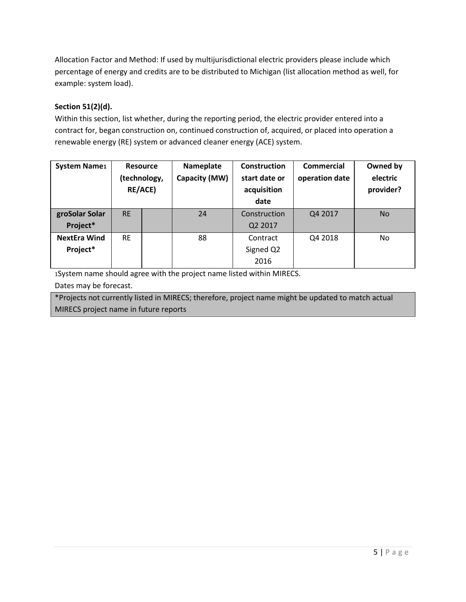Allocation Factor and Method: If used by multijurisdictional electric providers please include which percentage of energy and credits are to be distributed to Michigan (list allocation method as well, for example: system load).

## **Section 51(2)(d).**

Within this section, list whether, during the reporting period, the electric provider entered into a contract for, began construction on, continued construction of, acquired, or placed into operation a renewable energy (RE) system or advanced cleaner energy (ACE) system.

| <b>System Name1</b> | <b>RE/ACE)</b> | <b>Resource</b><br>(technology, | Nameplate<br>Capacity (MW) | Construction<br>start date or<br>acquisition<br>date | Commercial<br>operation date | Owned by<br>electric<br>provider? |
|---------------------|----------------|---------------------------------|----------------------------|------------------------------------------------------|------------------------------|-----------------------------------|
| groSolar Solar      | <b>RE</b>      |                                 | 24                         | Construction                                         | Q4 2017                      | <b>No</b>                         |
| Project*            |                |                                 |                            | Q <sub>2</sub> 2017                                  |                              |                                   |
| <b>NextEra Wind</b> | <b>RE</b>      |                                 | 88                         | Contract                                             | Q4 2018                      | No                                |
| Project*            |                |                                 |                            | Signed Q2                                            |                              |                                   |
|                     |                |                                 |                            | 2016                                                 |                              |                                   |

1System name should agree with the project name listed within MIRECS.

Dates may be forecast.

\*Projects not currently listed in MIRECS; therefore, project name might be updated to match actual MIRECS project name in future reports